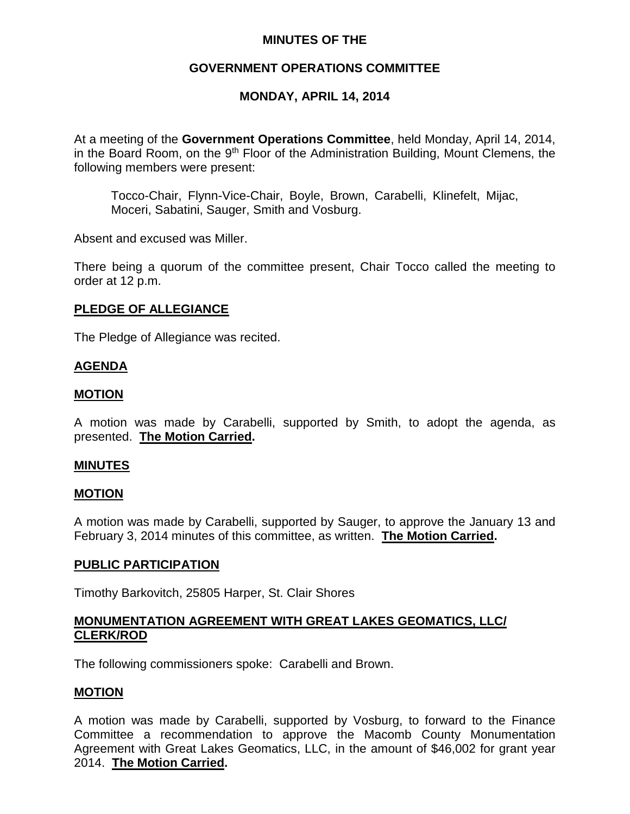### **MINUTES OF THE**

## **GOVERNMENT OPERATIONS COMMITTEE**

### **MONDAY, APRIL 14, 2014**

At a meeting of the **Government Operations Committee**, held Monday, April 14, 2014, in the Board Room, on the  $9<sup>th</sup>$  Floor of the Administration Building, Mount Clemens, the following members were present:

Tocco-Chair, Flynn-Vice-Chair, Boyle, Brown, Carabelli, Klinefelt, Mijac, Moceri, Sabatini, Sauger, Smith and Vosburg.

Absent and excused was Miller.

There being a quorum of the committee present, Chair Tocco called the meeting to order at 12 p.m.

### **PLEDGE OF ALLEGIANCE**

The Pledge of Allegiance was recited.

### **AGENDA**

### **MOTION**

A motion was made by Carabelli, supported by Smith, to adopt the agenda, as presented. **The Motion Carried.**

### **MINUTES**

#### **MOTION**

A motion was made by Carabelli, supported by Sauger, to approve the January 13 and February 3, 2014 minutes of this committee, as written. **The Motion Carried.**

#### **PUBLIC PARTICIPATION**

Timothy Barkovitch, 25805 Harper, St. Clair Shores

### **MONUMENTATION AGREEMENT WITH GREAT LAKES GEOMATICS, LLC/ CLERK/ROD**

The following commissioners spoke: Carabelli and Brown.

### **MOTION**

A motion was made by Carabelli, supported by Vosburg, to forward to the Finance Committee a recommendation to approve the Macomb County Monumentation Agreement with Great Lakes Geomatics, LLC, in the amount of \$46,002 for grant year 2014. **The Motion Carried.**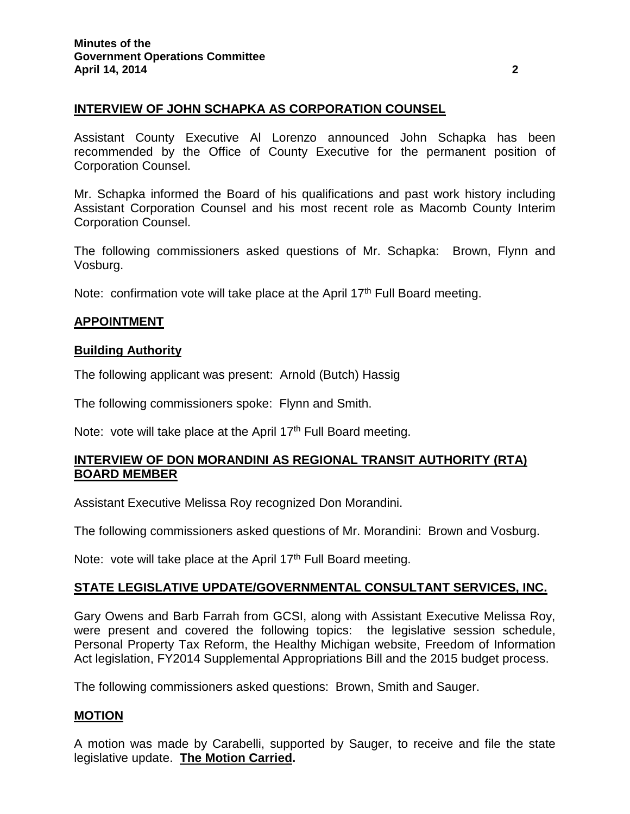# **INTERVIEW OF JOHN SCHAPKA AS CORPORATION COUNSEL**

Assistant County Executive Al Lorenzo announced John Schapka has been recommended by the Office of County Executive for the permanent position of Corporation Counsel.

Mr. Schapka informed the Board of his qualifications and past work history including Assistant Corporation Counsel and his most recent role as Macomb County Interim Corporation Counsel.

The following commissioners asked questions of Mr. Schapka: Brown, Flynn and Vosburg.

Note: confirmation vote will take place at the April 17<sup>th</sup> Full Board meeting.

## **APPOINTMENT**

### **Building Authority**

The following applicant was present: Arnold (Butch) Hassig

The following commissioners spoke: Flynn and Smith.

Note: vote will take place at the April 17<sup>th</sup> Full Board meeting.

## **INTERVIEW OF DON MORANDINI AS REGIONAL TRANSIT AUTHORITY (RTA) BOARD MEMBER**

Assistant Executive Melissa Roy recognized Don Morandini.

The following commissioners asked questions of Mr. Morandini: Brown and Vosburg.

Note: vote will take place at the April 17<sup>th</sup> Full Board meeting.

## **STATE LEGISLATIVE UPDATE/GOVERNMENTAL CONSULTANT SERVICES, INC.**

Gary Owens and Barb Farrah from GCSI, along with Assistant Executive Melissa Roy, were present and covered the following topics: the legislative session schedule, Personal Property Tax Reform, the Healthy Michigan website, Freedom of Information Act legislation, FY2014 Supplemental Appropriations Bill and the 2015 budget process.

The following commissioners asked questions: Brown, Smith and Sauger.

### **MOTION**

A motion was made by Carabelli, supported by Sauger, to receive and file the state legislative update. **The Motion Carried.**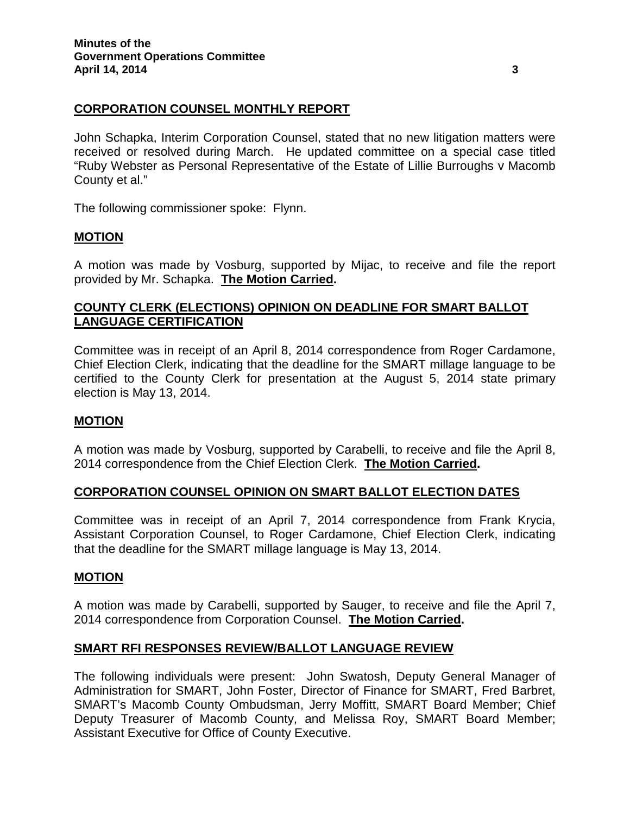### **CORPORATION COUNSEL MONTHLY REPORT**

John Schapka, Interim Corporation Counsel, stated that no new litigation matters were received or resolved during March. He updated committee on a special case titled "Ruby Webster as Personal Representative of the Estate of Lillie Burroughs v Macomb County et al."

The following commissioner spoke: Flynn.

### **MOTION**

A motion was made by Vosburg, supported by Mijac, to receive and file the report provided by Mr. Schapka. **The Motion Carried.**

### **COUNTY CLERK (ELECTIONS) OPINION ON DEADLINE FOR SMART BALLOT LANGUAGE CERTIFICATION**

Committee was in receipt of an April 8, 2014 correspondence from Roger Cardamone, Chief Election Clerk, indicating that the deadline for the SMART millage language to be certified to the County Clerk for presentation at the August 5, 2014 state primary election is May 13, 2014.

### **MOTION**

A motion was made by Vosburg, supported by Carabelli, to receive and file the April 8, 2014 correspondence from the Chief Election Clerk. **The Motion Carried.**

### **CORPORATION COUNSEL OPINION ON SMART BALLOT ELECTION DATES**

Committee was in receipt of an April 7, 2014 correspondence from Frank Krycia, Assistant Corporation Counsel, to Roger Cardamone, Chief Election Clerk, indicating that the deadline for the SMART millage language is May 13, 2014.

### **MOTION**

A motion was made by Carabelli, supported by Sauger, to receive and file the April 7, 2014 correspondence from Corporation Counsel. **The Motion Carried.**

### **SMART RFI RESPONSES REVIEW/BALLOT LANGUAGE REVIEW**

The following individuals were present: John Swatosh, Deputy General Manager of Administration for SMART, John Foster, Director of Finance for SMART, Fred Barbret, SMART's Macomb County Ombudsman, Jerry Moffitt, SMART Board Member; Chief Deputy Treasurer of Macomb County, and Melissa Roy, SMART Board Member; Assistant Executive for Office of County Executive.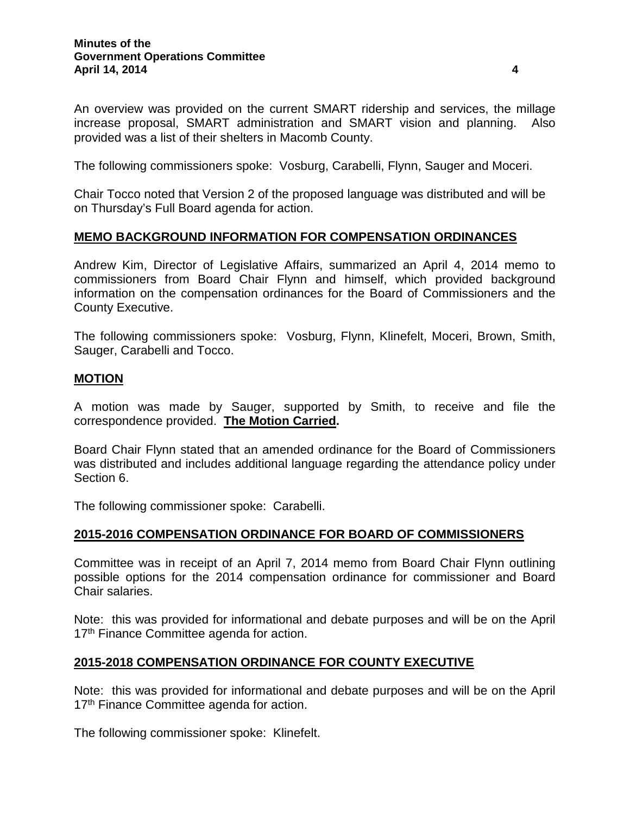An overview was provided on the current SMART ridership and services, the millage increase proposal, SMART administration and SMART vision and planning. Also provided was a list of their shelters in Macomb County.

The following commissioners spoke: Vosburg, Carabelli, Flynn, Sauger and Moceri.

Chair Tocco noted that Version 2 of the proposed language was distributed and will be on Thursday's Full Board agenda for action.

## **MEMO BACKGROUND INFORMATION FOR COMPENSATION ORDINANCES**

Andrew Kim, Director of Legislative Affairs, summarized an April 4, 2014 memo to commissioners from Board Chair Flynn and himself, which provided background information on the compensation ordinances for the Board of Commissioners and the County Executive.

The following commissioners spoke: Vosburg, Flynn, Klinefelt, Moceri, Brown, Smith, Sauger, Carabelli and Tocco.

### **MOTION**

A motion was made by Sauger, supported by Smith, to receive and file the correspondence provided. **The Motion Carried.**

Board Chair Flynn stated that an amended ordinance for the Board of Commissioners was distributed and includes additional language regarding the attendance policy under Section 6.

The following commissioner spoke: Carabelli.

### **2015-2016 COMPENSATION ORDINANCE FOR BOARD OF COMMISSIONERS**

Committee was in receipt of an April 7, 2014 memo from Board Chair Flynn outlining possible options for the 2014 compensation ordinance for commissioner and Board Chair salaries.

Note: this was provided for informational and debate purposes and will be on the April 17<sup>th</sup> Finance Committee agenda for action.

### **2015-2018 COMPENSATION ORDINANCE FOR COUNTY EXECUTIVE**

Note: this was provided for informational and debate purposes and will be on the April 17<sup>th</sup> Finance Committee agenda for action.

The following commissioner spoke: Klinefelt.